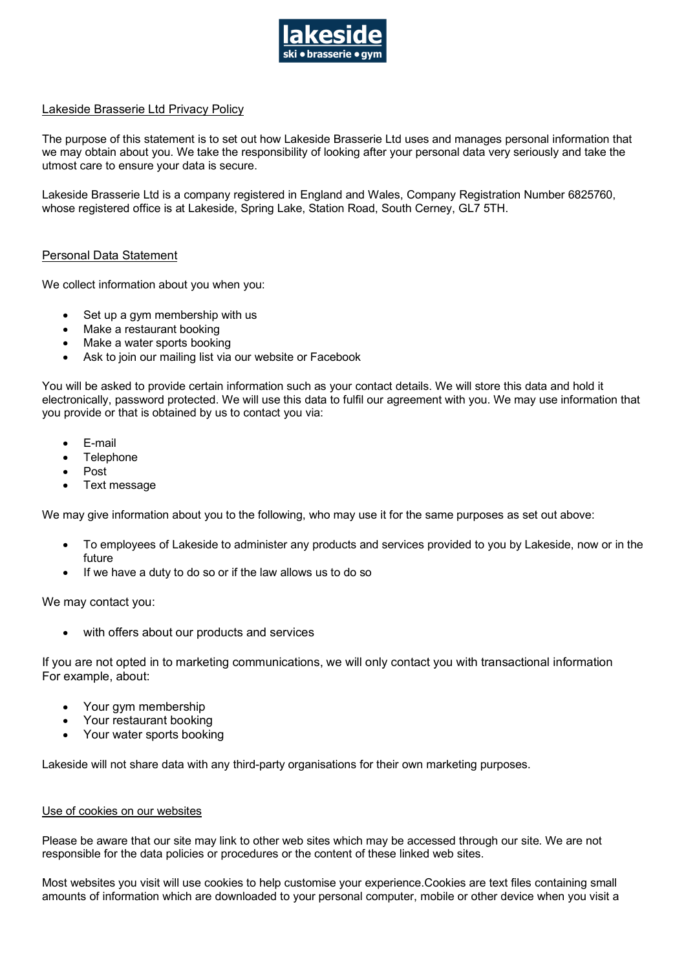

# Lakeside Brasserie Ltd Privacy Policy

The purpose of this statement is to set out how Lakeside Brasserie Ltd uses and manages personal information that we may obtain about you. We take the responsibility of looking after your personal data very seriously and take the utmost care to ensure your data is secure.

Lakeside Brasserie Ltd is a company registered in England and Wales, Company Registration Number 6825760, whose registered office is at Lakeside, Spring Lake, Station Road, South Cerney, GL7 5TH.

## Personal Data Statement

We collect information about you when you:

- Set up a gym membership with us
- Make a restaurant booking
- Make a water sports booking
- Ask to join our mailing list via our website or Facebook

You will be asked to provide certain information such as your contact details. We will store this data and hold it electronically, password protected. We will use this data to fulfil our agreement with you. We may use information that you provide or that is obtained by us to contact you via:

- E-mail
- **Telephone**
- Post
- Text message

We may give information about you to the following, who may use it for the same purposes as set out above:

- To employees of Lakeside to administer any products and services provided to you by Lakeside, now or in the future
- If we have a duty to do so or if the law allows us to do so

We may contact you:

with offers about our products and services

If you are not opted in to marketing communications, we will only contact you with transactional information For example, about:

- Your gym membership
- Your restaurant booking
- Your water sports booking

Lakeside will not share data with any third-party organisations for their own marketing purposes.

### Use of cookies on our websites

Please be aware that our site may link to other web sites which may be accessed through our site. We are not responsible for the data policies or procedures or the content of these linked web sites.

Most websites you visit will use cookies to help customise your experience.Cookies are text files containing small amounts of information which are downloaded to your personal computer, mobile or other device when you visit a